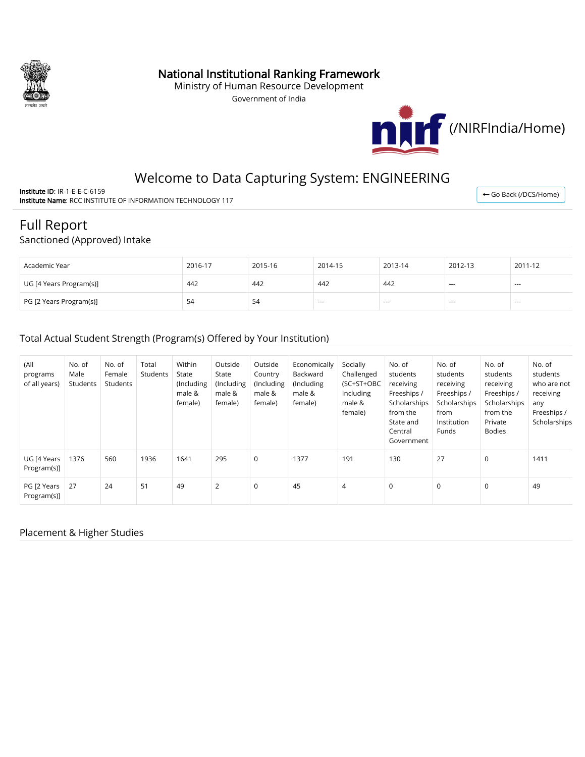

## National Institutional Ranking Framework

Ministry of Human Resource Development

Government of India



# Welcome to Data Capturing System: ENGINEERING

Institute ID: IR-1-E-E-C-6159 Institute Name: RCC INSTITUTE OF INFORMATION TECHNOLOGY 117

#### ← [Go Back \(/DCS/Home\)](http://nirfweb.cloudapp.net/DCS/Home)

# Full Report

## Sanctioned (Approved) Intake

| Academic Year           | 2016-17 | 2015-16 | 2014-15 | 2013-14 | 2012-13 | 2011-12 |
|-------------------------|---------|---------|---------|---------|---------|---------|
| UG [4 Years Program(s)] | 442     | 442     | 442     | 442     | $- - -$ | $- - -$ |
| PG [2 Years Program(s)] | -54     | 54      | $- - -$ | $- - -$ | $- - -$ | $- - -$ |

## Total Actual Student Strength (Program(s) Offered by Your Institution)

| (All<br>programs<br>of all years) | No. of<br>Male<br>Students | No. of<br>Female<br>Students | Total<br>Students | Within<br>State<br>(Including<br>male &<br>female) | Outside<br>State<br>(Including<br>male &<br>female) | Outside<br>Country<br>(Including<br>male &<br>female) | Economically<br>Backward<br>(Including)<br>male &<br>female) | Socially<br>Challenged<br>(SC+ST+OBC<br>Including<br>male &<br>female) | No. of<br>students<br>receiving<br>Freeships /<br>Scholarships<br>from the<br>State and<br>Central<br>Government | No. of<br>students<br>receiving<br>Freeships /<br>Scholarships<br>from<br>Institution<br>Funds | No. of<br>students<br>receiving<br>Freeships /<br>Scholarships<br>from the<br>Private<br><b>Bodies</b> | No. of<br>students<br>who are not<br>receiving<br>any<br>Freeships /<br>Scholarships |
|-----------------------------------|----------------------------|------------------------------|-------------------|----------------------------------------------------|-----------------------------------------------------|-------------------------------------------------------|--------------------------------------------------------------|------------------------------------------------------------------------|------------------------------------------------------------------------------------------------------------------|------------------------------------------------------------------------------------------------|--------------------------------------------------------------------------------------------------------|--------------------------------------------------------------------------------------|
| UG [4 Years<br>Program(s)]        | 1376                       | 560                          | 1936              | 1641                                               | 295                                                 | $\mathbf 0$                                           | 1377                                                         | 191                                                                    | 130                                                                                                              | 27                                                                                             | $\mathbf 0$                                                                                            | 1411                                                                                 |
| PG [2 Years<br>Program(s)]        | 27                         | 24                           | 51                | 49                                                 | $\overline{2}$                                      | $\mathbf 0$                                           | 45                                                           | 4                                                                      | $\mathbf 0$                                                                                                      | $\mathbf 0$                                                                                    | $\mathbf 0$                                                                                            | 49                                                                                   |

#### Placement & Higher Studies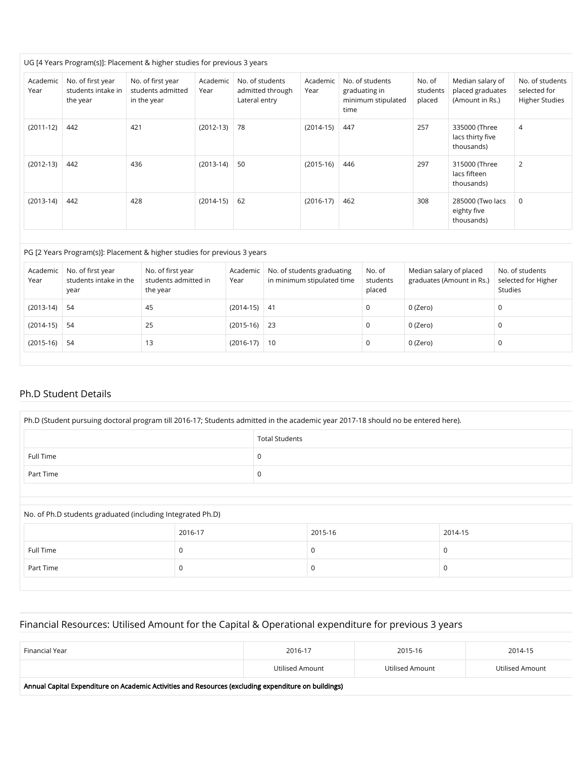#### UG [4 Years Program(s)]: Placement & higher studies for previous 3 years

| Academic<br>Year | No. of first year<br>students intake in<br>the year | No. of first year<br>students admitted<br>in the year | Academic<br>Year | No. of students<br>admitted through<br>Lateral entry | Academic<br>Year | No. of students<br>graduating in<br>minimum stipulated<br>time | No. of<br>students<br>placed | Median salary of<br>placed graduates<br>(Amount in Rs.) | No. of students<br>selected for<br><b>Higher Studies</b> |
|------------------|-----------------------------------------------------|-------------------------------------------------------|------------------|------------------------------------------------------|------------------|----------------------------------------------------------------|------------------------------|---------------------------------------------------------|----------------------------------------------------------|
| $(2011-12)$      | 442                                                 | 421                                                   | $(2012-13)$      | 78                                                   | $(2014-15)$      | 447                                                            | 257                          | 335000 (Three<br>lacs thirty five<br>thousands)         | 4                                                        |
| $(2012-13)$      | 442                                                 | 436                                                   | $(2013-14)$      | 50                                                   | $(2015-16)$      | 446                                                            | 297                          | 315000 (Three<br>lacs fifteen<br>thousands)             | 2                                                        |
| $(2013-14)$      | 442                                                 | 428                                                   | $(2014-15)$      | 62                                                   | $(2016-17)$      | 462                                                            | 308                          | 285000 (Two lacs<br>eighty five<br>thousands)           | $\mathbf 0$                                              |

#### PG [2 Years Program(s)]: Placement & higher studies for previous 3 years

| Academic<br>Year | No. of first year<br>students intake in the<br>year | No. of first year<br>students admitted in<br>the year | Academic<br>Year | No. of students graduating<br>in minimum stipulated time | No. of<br>students<br>placed | Median salary of placed<br>graduates (Amount in Rs.) | No. of students<br>selected for Higher<br><b>Studies</b> |
|------------------|-----------------------------------------------------|-------------------------------------------------------|------------------|----------------------------------------------------------|------------------------------|------------------------------------------------------|----------------------------------------------------------|
| $(2013-14)$      | -54                                                 | 45                                                    | $(2014-15)$ 41   |                                                          | 0                            | 0 (Zero)                                             | 0                                                        |
| $(2014-15)$      | 54                                                  | 25                                                    | $(2015-16)$ 23   |                                                          | 0                            | 0 (Zero)                                             | 0                                                        |
| $(2015-16)$      | 54                                                  | 13                                                    | $(2016-17)$ 10   |                                                          | 0                            | 0 (Zero)                                             |                                                          |

#### Ph.D Student Details

| Ph.D (Student pursuing doctoral program till 2016-17; Students admitted in the academic year 2017-18 should no be entered here). |                       |   |         |  |         |  |  |
|----------------------------------------------------------------------------------------------------------------------------------|-----------------------|---|---------|--|---------|--|--|
|                                                                                                                                  | <b>Total Students</b> |   |         |  |         |  |  |
| Full Time                                                                                                                        |                       | 0 |         |  |         |  |  |
| Part Time                                                                                                                        |                       | 0 |         |  |         |  |  |
|                                                                                                                                  |                       |   |         |  |         |  |  |
| No. of Ph.D students graduated (including Integrated Ph.D)                                                                       |                       |   |         |  |         |  |  |
|                                                                                                                                  | 2016-17               |   | 2015-16 |  | 2014-15 |  |  |

|           | 2016-17 | 2015-16 | 2014-15 |
|-----------|---------|---------|---------|
| Full Time |         |         |         |
| Part Time |         |         |         |

## Financial Resources: Utilised Amount for the Capital & Operational expenditure for previous 3 years

| Financial Year | 2016-17         | 2015-16         | 2014-15         |
|----------------|-----------------|-----------------|-----------------|
|                | Utilised Amount | Utilised Amount | Utilised Amount |

Annual Capital Expenditure on Academic Activities and Resources (excluding expenditure on buildings)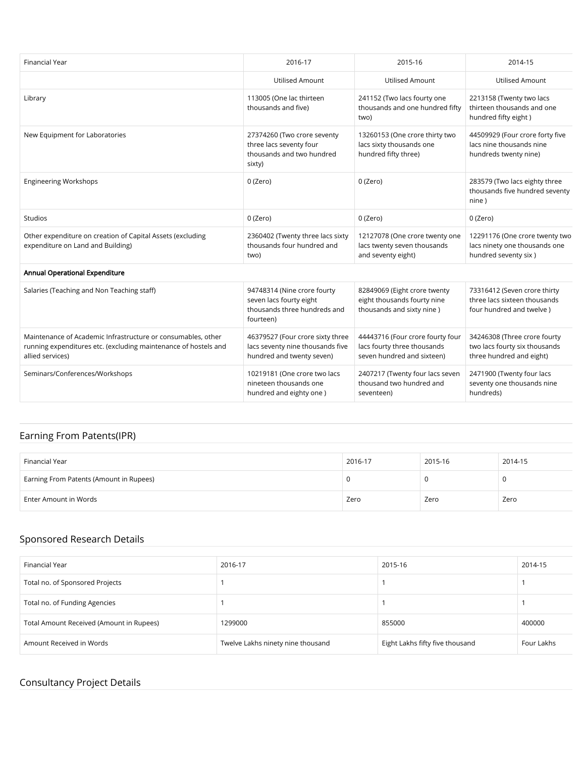| <b>Financial Year</b>                                                                                                                               | 2016-17                                                                                             | 2015-16                                                                                       | 2014-15                                                                                   |
|-----------------------------------------------------------------------------------------------------------------------------------------------------|-----------------------------------------------------------------------------------------------------|-----------------------------------------------------------------------------------------------|-------------------------------------------------------------------------------------------|
|                                                                                                                                                     | <b>Utilised Amount</b>                                                                              | <b>Utilised Amount</b>                                                                        | <b>Utilised Amount</b>                                                                    |
| Library                                                                                                                                             | 113005 (One lac thirteen<br>thousands and five)                                                     | 241152 (Two lacs fourty one<br>thousands and one hundred fifty<br>two)                        | 2213158 (Twenty two lacs<br>thirteen thousands and one<br>hundred fifty eight)            |
| New Equipment for Laboratories                                                                                                                      | 27374260 (Two crore seventy<br>three lacs seventy four<br>thousands and two hundred<br>sixty)       | 13260153 (One crore thirty two<br>lacs sixty thousands one<br>hundred fifty three)            | 44509929 (Four crore forty five<br>lacs nine thousands nine<br>hundreds twenty nine)      |
| <b>Engineering Workshops</b>                                                                                                                        | 0 (Zero)                                                                                            | 0 (Zero)                                                                                      | 283579 (Two lacs eighty three<br>thousands five hundred seventy<br>nine)                  |
| Studios                                                                                                                                             | 0 (Zero)                                                                                            | 0 (Zero)                                                                                      | 0 (Zero)                                                                                  |
| Other expenditure on creation of Capital Assets (excluding<br>expenditure on Land and Building)                                                     | 2360402 (Twenty three lacs sixty<br>thousands four hundred and<br>two)                              | 12127078 (One crore twenty one<br>lacs twenty seven thousands<br>and seventy eight)           | 12291176 (One crore twenty two<br>lacs ninety one thousands one<br>hundred seventy six)   |
| Annual Operational Expenditure                                                                                                                      |                                                                                                     |                                                                                               |                                                                                           |
| Salaries (Teaching and Non Teaching staff)                                                                                                          | 94748314 (Nine crore fourty<br>seven lacs fourty eight<br>thousands three hundreds and<br>fourteen) | 82849069 (Eight crore twenty<br>eight thousands fourty nine<br>thousands and sixty nine)      | 73316412 (Seven crore thirty<br>three lacs sixteen thousands<br>four hundred and twelve)  |
| Maintenance of Academic Infrastructure or consumables, other<br>running expenditures etc. (excluding maintenance of hostels and<br>allied services) | 46379527 (Four crore sixty three<br>lacs seventy nine thousands five<br>hundred and twenty seven)   | 44443716 (Four crore fourty four<br>lacs fourty three thousands<br>seven hundred and sixteen) | 34246308 (Three crore fourty<br>two lacs fourty six thousands<br>three hundred and eight) |
| Seminars/Conferences/Workshops                                                                                                                      | 10219181 (One crore two lacs<br>nineteen thousands one<br>hundred and eighty one)                   | 2407217 (Twenty four lacs seven<br>thousand two hundred and<br>seventeen)                     | 2471900 (Twenty four lacs<br>seventy one thousands nine<br>hundreds)                      |

## Earning From Patents(IPR)

| Financial Year                          | 2016-17 | 2015-16 | 2014-15 |
|-----------------------------------------|---------|---------|---------|
| Earning From Patents (Amount in Rupees) |         |         |         |
| Enter Amount in Words                   | Zero    | Zero    | Zero    |

## Sponsored Research Details

| Financial Year                           | 2016-17                           | 2015-16                         | 2014-15    |
|------------------------------------------|-----------------------------------|---------------------------------|------------|
| Total no. of Sponsored Projects          |                                   |                                 |            |
| Total no. of Funding Agencies            |                                   |                                 |            |
| Total Amount Received (Amount in Rupees) | 1299000                           | 855000                          | 400000     |
| Amount Received in Words                 | Twelve Lakhs ninety nine thousand | Eight Lakhs fifty five thousand | Four Lakhs |

## Consultancy Project Details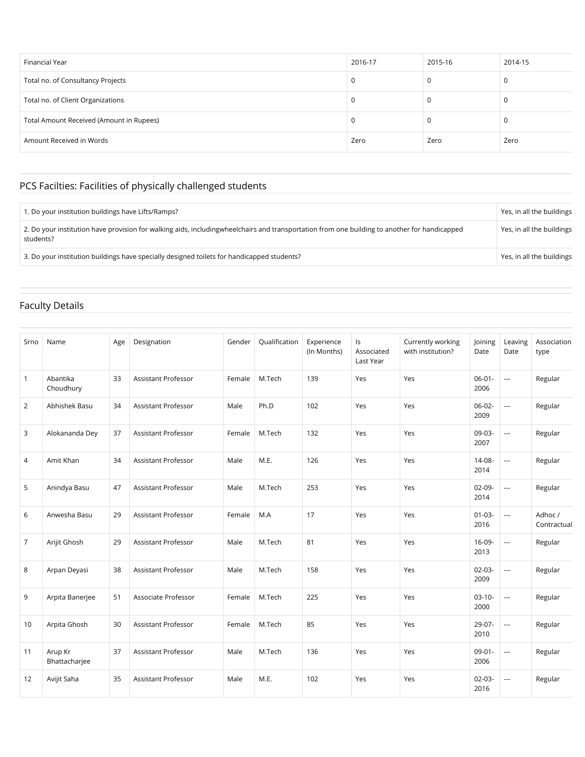| Financial Year                           | 2016-17 | 2015-16 | 2014-15 |
|------------------------------------------|---------|---------|---------|
| Total no. of Consultancy Projects        | u       | υ       |         |
| Total no. of Client Organizations        |         |         |         |
| Total Amount Received (Amount in Rupees) |         |         |         |
| Amount Received in Words                 | Zero    | Zero    | Zero    |

# PCS Facilties: Facilities of physically challenged students

| 1. Do your institution buildings have Lifts/Ramps?                                                                                                        | Yes, in all the buildings |
|-----------------------------------------------------------------------------------------------------------------------------------------------------------|---------------------------|
| 2. Do your institution have provision for walking aids, includingwheelchairs and transportation from one building to another for handicapped<br>students? | Yes, in all the buildings |
| 3. Do your institution buildings have specially designed toilets for handicapped students?                                                                | Yes, in all the buildings |

## Faculty Details

| Srno           | Name                     | Age | Designation                | Gender | Qualification | Experience<br>(In Months) | ls<br>Associated<br>Last Year | Currently working<br>with institution? | Joining<br>Date     | Leaving<br>Date          | Association<br>type    |
|----------------|--------------------------|-----|----------------------------|--------|---------------|---------------------------|-------------------------------|----------------------------------------|---------------------|--------------------------|------------------------|
| $\mathbf{1}$   | Abantika<br>Choudhury    | 33  | <b>Assistant Professor</b> | Female | M.Tech        | 139                       | Yes                           | Yes                                    | $06 - 01 -$<br>2006 | $\sim$                   | Regular                |
| 2              | Abhishek Basu            | 34  | <b>Assistant Professor</b> | Male   | Ph.D          | 102                       | Yes                           | Yes                                    | $06-02-$<br>2009    | $\overline{\phantom{a}}$ | Regular                |
| 3              | Alokananda Dey           | 37  | <b>Assistant Professor</b> | Female | M.Tech        | 132                       | Yes                           | Yes                                    | 09-03-<br>2007      | $\overline{\phantom{a}}$ | Regular                |
| $\overline{4}$ | Amit Khan                | 34  | <b>Assistant Professor</b> | Male   | M.E.          | 126                       | Yes                           | Yes                                    | $14 - 08 -$<br>2014 | $\overline{\phantom{a}}$ | Regular                |
| 5              | Anindya Basu             | 47  | <b>Assistant Professor</b> | Male   | M.Tech        | 253                       | Yes                           | Yes                                    | $02-09-$<br>2014    | ---                      | Regular                |
| 6              | Anwesha Basu             | 29  | <b>Assistant Professor</b> | Female | M.A           | 17                        | Yes                           | Yes                                    | $01 - 03 -$<br>2016 | $\overline{\phantom{a}}$ | Adhoc /<br>Contractual |
| $\overline{7}$ | Arijit Ghosh             | 29  | <b>Assistant Professor</b> | Male   | M.Tech        | 81                        | Yes                           | Yes                                    | 16-09-<br>2013      | $\overline{\phantom{a}}$ | Regular                |
| 8              | Arpan Deyasi             | 38  | <b>Assistant Professor</b> | Male   | M.Tech        | 158                       | Yes                           | Yes                                    | $02 - 03 -$<br>2009 | $\overline{\phantom{a}}$ | Regular                |
| 9              | Arpita Banerjee          | 51  | Associate Professor        | Female | M.Tech        | 225                       | Yes                           | Yes                                    | $03-10-$<br>2000    | ---                      | Regular                |
| 10             | Arpita Ghosh             | 30  | Assistant Professor        | Female | M.Tech        | 85                        | Yes                           | Yes                                    | 29-07-<br>2010      | ---                      | Regular                |
| 11             | Arup Kr<br>Bhattacharjee | 37  | <b>Assistant Professor</b> | Male   | M.Tech        | 136                       | Yes                           | Yes                                    | $09 - 01 -$<br>2006 | $\overline{\phantom{a}}$ | Regular                |
| 12             | Avijit Saha              | 35  | Assistant Professor        | Male   | M.E.          | 102                       | Yes                           | Yes                                    | $02 - 03 -$<br>2016 | $\overline{\phantom{a}}$ | Regular                |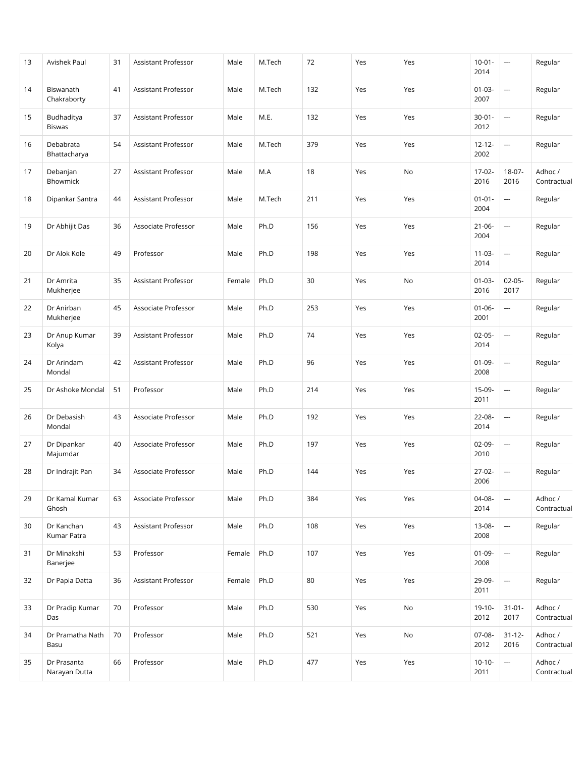| 13 | Avishek Paul                 | 31 | Assistant Professor | Male   | M.Tech | 72  | Yes | Yes | $10 - 01 -$<br>2014 | ---                      | Regular                |
|----|------------------------------|----|---------------------|--------|--------|-----|-----|-----|---------------------|--------------------------|------------------------|
| 14 | Biswanath<br>Chakraborty     | 41 | Assistant Professor | Male   | M.Tech | 132 | Yes | Yes | $01 - 03 -$<br>2007 | $\overline{\phantom{a}}$ | Regular                |
| 15 | Budhaditya<br><b>Biswas</b>  | 37 | Assistant Professor | Male   | M.E.   | 132 | Yes | Yes | $30 - 01 -$<br>2012 | ---                      | Regular                |
| 16 | Debabrata<br>Bhattacharya    | 54 | Assistant Professor | Male   | M.Tech | 379 | Yes | Yes | $12 - 12 -$<br>2002 | $\overline{\phantom{a}}$ | Regular                |
| 17 | Debanjan<br>Bhowmick         | 27 | Assistant Professor | Male   | M.A    | 18  | Yes | No  | $17-02-$<br>2016    | 18-07-<br>2016           | Adhoc /<br>Contractual |
| 18 | Dipankar Santra              | 44 | Assistant Professor | Male   | M.Tech | 211 | Yes | Yes | $01 - 01 -$<br>2004 | $\overline{\phantom{a}}$ | Regular                |
| 19 | Dr Abhijit Das               | 36 | Associate Professor | Male   | Ph.D   | 156 | Yes | Yes | $21 - 06 -$<br>2004 | ---                      | Regular                |
| 20 | Dr Alok Kole                 | 49 | Professor           | Male   | Ph.D   | 198 | Yes | Yes | $11 - 03 -$<br>2014 | $\overline{\phantom{a}}$ | Regular                |
| 21 | Dr Amrita<br>Mukherjee       | 35 | Assistant Professor | Female | Ph.D   | 30  | Yes | No  | $01 - 03 -$<br>2016 | $02-05-$<br>2017         | Regular                |
| 22 | Dr Anirban<br>Mukherjee      | 45 | Associate Professor | Male   | Ph.D   | 253 | Yes | Yes | $01 - 06 -$<br>2001 | $\overline{\phantom{a}}$ | Regular                |
| 23 | Dr Anup Kumar<br>Kolya       | 39 | Assistant Professor | Male   | Ph.D   | 74  | Yes | Yes | $02 - 05 -$<br>2014 | ---                      | Regular                |
| 24 | Dr Arindam<br>Mondal         | 42 | Assistant Professor | Male   | Ph.D   | 96  | Yes | Yes | $01 - 09 -$<br>2008 | ---                      | Regular                |
| 25 | Dr Ashoke Mondal             | 51 | Professor           | Male   | Ph.D   | 214 | Yes | Yes | $15-09-$<br>2011    | $\overline{\phantom{a}}$ | Regular                |
| 26 | Dr Debasish<br>Mondal        | 43 | Associate Professor | Male   | Ph.D   | 192 | Yes | Yes | 22-08-<br>2014      | $\overline{\phantom{a}}$ | Regular                |
| 27 | Dr Dipankar<br>Majumdar      | 40 | Associate Professor | Male   | Ph.D   | 197 | Yes | Yes | 02-09-<br>2010      | ---                      | Regular                |
| 28 | Dr Indrajit Pan              | 34 | Associate Professor | Male   | Ph.D   | 144 | Yes | Yes | $27-02-$<br>2006    | $\overline{\phantom{a}}$ | Regular                |
| 29 | Dr Kamal Kumar<br>Ghosh      | 63 | Associate Professor | Male   | Ph.D   | 384 | Yes | Yes | 04-08-<br>2014      |                          | Adhoc /<br>Contractual |
| 30 | Dr Kanchan<br>Kumar Patra    | 43 | Assistant Professor | Male   | Ph.D   | 108 | Yes | Yes | 13-08-<br>2008      | ---                      | Regular                |
| 31 | Dr Minakshi<br>Banerjee      | 53 | Professor           | Female | Ph.D   | 107 | Yes | Yes | $01 - 09 -$<br>2008 | ---                      | Regular                |
| 32 | Dr Papia Datta               | 36 | Assistant Professor | Female | Ph.D   | 80  | Yes | Yes | 29-09-<br>2011      | ---                      | Regular                |
| 33 | Dr Pradip Kumar<br>Das       | 70 | Professor           | Male   | Ph.D   | 530 | Yes | No  | $19-10-$<br>2012    | $31 - 01 -$<br>2017      | Adhoc /<br>Contractual |
| 34 | Dr Pramatha Nath<br>Basu     | 70 | Professor           | Male   | Ph.D   | 521 | Yes | No  | 07-08-<br>2012      | $31 - 12 -$<br>2016      | Adhoc /<br>Contractual |
| 35 | Dr Prasanta<br>Narayan Dutta | 66 | Professor           | Male   | Ph.D   | 477 | Yes | Yes | $10-10-$<br>2011    | $\hspace{0.05cm}\ldots$  | Adhoc /<br>Contractual |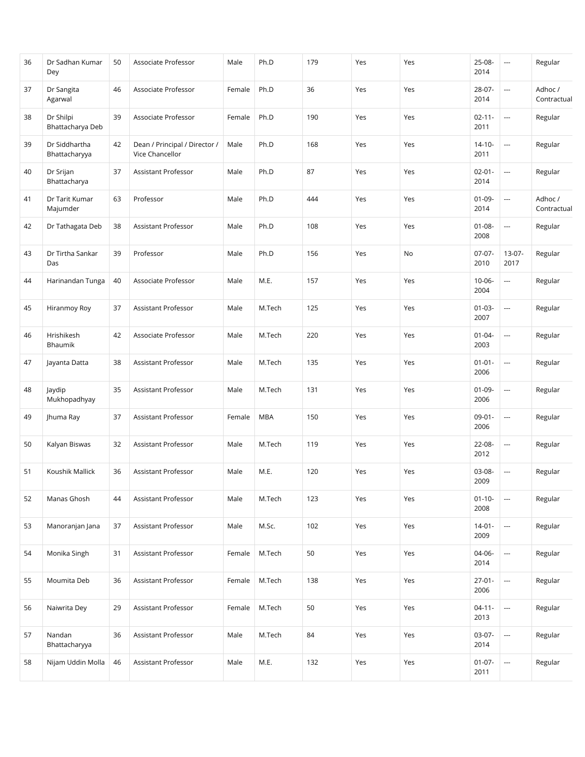| 36 | Dr Sadhan Kumar<br>Dey         | 50 | Associate Professor                              | Male   | Ph.D       | 179 | Yes | Yes | 25-08-<br>2014      | ---                      | Regular                |
|----|--------------------------------|----|--------------------------------------------------|--------|------------|-----|-----|-----|---------------------|--------------------------|------------------------|
| 37 | Dr Sangita<br>Agarwal          | 46 | Associate Professor                              | Female | Ph.D       | 36  | Yes | Yes | 28-07-<br>2014      | $\overline{\phantom{a}}$ | Adhoc /<br>Contractual |
| 38 | Dr Shilpi<br>Bhattacharya Deb  | 39 | Associate Professor                              | Female | Ph.D       | 190 | Yes | Yes | $02 - 11 -$<br>2011 | ---                      | Regular                |
| 39 | Dr Siddhartha<br>Bhattacharyya | 42 | Dean / Principal / Director /<br>Vice Chancellor | Male   | Ph.D       | 168 | Yes | Yes | $14 - 10 -$<br>2011 | ---                      | Regular                |
| 40 | Dr Srijan<br>Bhattacharya      | 37 | Assistant Professor                              | Male   | Ph.D       | 87  | Yes | Yes | $02 - 01 -$<br>2014 | $\overline{\phantom{a}}$ | Regular                |
| 41 | Dr Tarit Kumar<br>Majumder     | 63 | Professor                                        | Male   | Ph.D       | 444 | Yes | Yes | $01 - 09 -$<br>2014 | $\overline{\phantom{a}}$ | Adhoc /<br>Contractual |
| 42 | Dr Tathagata Deb               | 38 | Assistant Professor                              | Male   | Ph.D       | 108 | Yes | Yes | $01 - 08 -$<br>2008 | ---                      | Regular                |
| 43 | Dr Tirtha Sankar<br>Das        | 39 | Professor                                        | Male   | Ph.D       | 156 | Yes | No  | $07-07-$<br>2010    | $13-07-$<br>2017         | Regular                |
| 44 | Harinandan Tunga               | 40 | Associate Professor                              | Male   | M.E.       | 157 | Yes | Yes | $10 - 06 -$<br>2004 | $\overline{\phantom{a}}$ | Regular                |
| 45 | Hiranmoy Roy                   | 37 | Assistant Professor                              | Male   | M.Tech     | 125 | Yes | Yes | $01 - 03 -$<br>2007 | $\overline{\phantom{a}}$ | Regular                |
| 46 | Hrishikesh<br>Bhaumik          | 42 | Associate Professor                              | Male   | M.Tech     | 220 | Yes | Yes | $01 - 04 -$<br>2003 | $\cdots$                 | Regular                |
| 47 | Jayanta Datta                  | 38 | Assistant Professor                              | Male   | M.Tech     | 135 | Yes | Yes | $01 - 01 -$<br>2006 | $\cdots$                 | Regular                |
| 48 | Jaydip<br>Mukhopadhyay         | 35 | Assistant Professor                              | Male   | M.Tech     | 131 | Yes | Yes | $01 - 09 -$<br>2006 | ---                      | Regular                |
| 49 | Jhuma Ray                      | 37 | Assistant Professor                              | Female | <b>MBA</b> | 150 | Yes | Yes | $09 - 01 -$<br>2006 | $\overline{\phantom{a}}$ | Regular                |
| 50 | Kalyan Biswas                  | 32 | Assistant Professor                              | Male   | M.Tech     | 119 | Yes | Yes | $22 - 08 -$<br>2012 | $\overline{\phantom{a}}$ | Regular                |
| 51 | Koushik Mallick                | 36 | Assistant Professor                              | Male   | M.E.       | 120 | Yes | Yes | 03-08-<br>2009      | ---                      | Regular                |
| 52 | Manas Ghosh                    | 44 | Assistant Professor                              | Male   | M.Tech     | 123 | Yes | Yes | $01 - 10 -$<br>2008 | ---                      | Regular                |
| 53 | Manoranjan Jana                | 37 | Assistant Professor                              | Male   | M.Sc.      | 102 | Yes | Yes | $14 - 01 -$<br>2009 |                          | Regular                |
| 54 | Monika Singh                   | 31 | Assistant Professor                              | Female | M.Tech     | 50  | Yes | Yes | 04-06-<br>2014      | $\overline{\phantom{a}}$ | Regular                |
| 55 | Moumita Deb                    | 36 | Assistant Professor                              | Female | M.Tech     | 138 | Yes | Yes | $27 - 01 -$<br>2006 | $\overline{\phantom{a}}$ | Regular                |
| 56 | Naiwrita Dey                   | 29 | Assistant Professor                              | Female | M.Tech     | 50  | Yes | Yes | $04 - 11 -$<br>2013 |                          | Regular                |
| 57 | Nandan<br>Bhattacharyya        | 36 | Assistant Professor                              | Male   | M.Tech     | 84  | Yes | Yes | $03-07-$<br>2014    | $\overline{\phantom{a}}$ | Regular                |
| 58 | Nijam Uddin Molla              | 46 | Assistant Professor                              | Male   | M.E.       | 132 | Yes | Yes | $01-07-$<br>2011    | $\overline{\phantom{a}}$ | Regular                |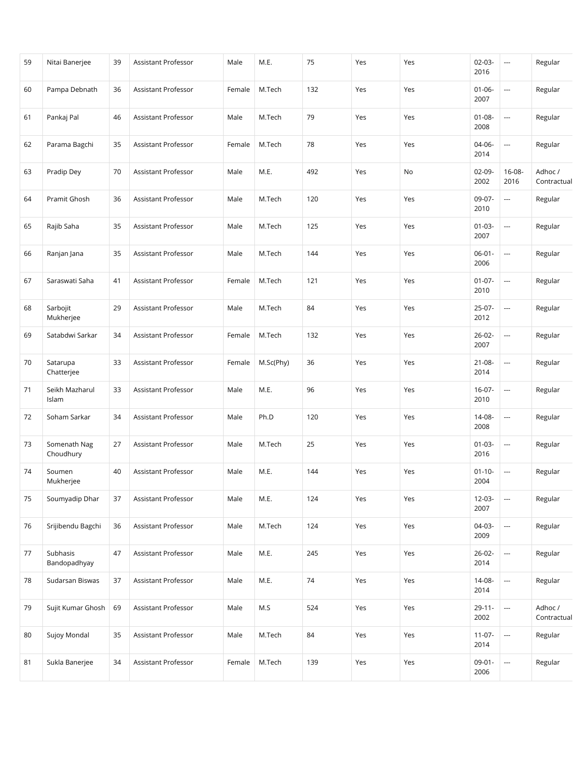| 59 | Nitai Banerjee            | 39 | Assistant Professor | Male   | M.E.      | 75  | Yes | Yes | $02-03-$<br>2016    | ---                      | Regular                |
|----|---------------------------|----|---------------------|--------|-----------|-----|-----|-----|---------------------|--------------------------|------------------------|
| 60 | Pampa Debnath             | 36 | Assistant Professor | Female | M.Tech    | 132 | Yes | Yes | $01 - 06 -$<br>2007 | $\overline{\phantom{a}}$ | Regular                |
| 61 | Pankaj Pal                | 46 | Assistant Professor | Male   | M.Tech    | 79  | Yes | Yes | $01 - 08 -$<br>2008 | ---                      | Regular                |
| 62 | Parama Bagchi             | 35 | Assistant Professor | Female | M.Tech    | 78  | Yes | Yes | 04-06-<br>2014      | $\overline{\phantom{a}}$ | Regular                |
| 63 | Pradip Dey                | 70 | Assistant Professor | Male   | M.E.      | 492 | Yes | No  | 02-09-<br>2002      | $16 - 08 -$<br>2016      | Adhoc /<br>Contractual |
| 64 | Pramit Ghosh              | 36 | Assistant Professor | Male   | M.Tech    | 120 | Yes | Yes | 09-07-<br>2010      | ---                      | Regular                |
| 65 | Rajib Saha                | 35 | Assistant Professor | Male   | M.Tech    | 125 | Yes | Yes | $01-03-$<br>2007    | $\overline{\phantom{a}}$ | Regular                |
| 66 | Ranjan Jana               | 35 | Assistant Professor | Male   | M.Tech    | 144 | Yes | Yes | $06 - 01 -$<br>2006 | ---                      | Regular                |
| 67 | Saraswati Saha            | 41 | Assistant Professor | Female | M.Tech    | 121 | Yes | Yes | $01 - 07 -$<br>2010 | ---                      | Regular                |
| 68 | Sarbojit<br>Mukherjee     | 29 | Assistant Professor | Male   | M.Tech    | 84  | Yes | Yes | $25-07-$<br>2012    | ---                      | Regular                |
| 69 | Satabdwi Sarkar           | 34 | Assistant Professor | Female | M.Tech    | 132 | Yes | Yes | $26 - 02 -$<br>2007 | $\overline{\phantom{a}}$ | Regular                |
| 70 | Satarupa<br>Chatterjee    | 33 | Assistant Professor | Female | M.Sc(Phy) | 36  | Yes | Yes | $21 - 08 -$<br>2014 | $\overline{\phantom{a}}$ | Regular                |
| 71 | Seikh Mazharul<br>Islam   | 33 | Assistant Professor | Male   | M.E.      | 96  | Yes | Yes | $16-07-$<br>2010    | ---                      | Regular                |
| 72 | Soham Sarkar              | 34 | Assistant Professor | Male   | Ph.D      | 120 | Yes | Yes | $14 - 08 -$<br>2008 | ---                      | Regular                |
| 73 | Somenath Nag<br>Choudhury | 27 | Assistant Professor | Male   | M.Tech    | 25  | Yes | Yes | $01-03-$<br>2016    | $\overline{\phantom{a}}$ | Regular                |
| 74 | Soumen<br>Mukherjee       | 40 | Assistant Professor | Male   | M.E.      | 144 | Yes | Yes | $01 - 10 -$<br>2004 | $\overline{\phantom{a}}$ | Regular                |
| 75 | Soumyadip Dhar            | 37 | Assistant Professor | Male   | M.E.      | 124 | Yes | Yes | $12 - 03 -$<br>2007 | ---                      | Regular                |
| 76 | Srijibendu Bagchi         | 36 | Assistant Professor | Male   | M.Tech    | 124 | Yes | Yes | 04-03-<br>2009      | $\overline{\phantom{a}}$ | Regular                |
| 77 | Subhasis<br>Bandopadhyay  | 47 | Assistant Professor | Male   | M.E.      | 245 | Yes | Yes | $26 - 02 -$<br>2014 | ---                      | Regular                |
| 78 | Sudarsan Biswas           | 37 | Assistant Professor | Male   | M.E.      | 74  | Yes | Yes | 14-08-<br>2014      | $\overline{\phantom{a}}$ | Regular                |
| 79 | Sujit Kumar Ghosh         | 69 | Assistant Professor | Male   | M.S       | 524 | Yes | Yes | $29 - 11 -$<br>2002 | ---                      | Adhoc /<br>Contractual |
| 80 | Sujoy Mondal              | 35 | Assistant Professor | Male   | M.Tech    | 84  | Yes | Yes | $11-07-$<br>2014    | $\hspace{0.05cm}\ldots$  | Regular                |
| 81 | Sukla Banerjee            | 34 | Assistant Professor | Female | M.Tech    | 139 | Yes | Yes | $09-01-$<br>2006    | $\hspace{0.05cm}\ldots$  | Regular                |